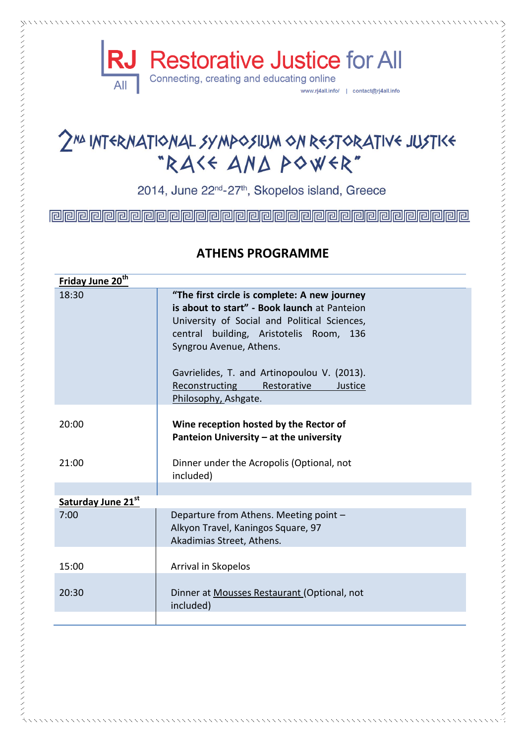

# 2NA INTERNATIONAL SYMPOSIUM ON RESTORATIVE JUSTIKE "RASS AND POWER"

2014, June 22<sup>nd</sup>-27<sup>th</sup>, Skopelos island, Greece

### **ATHENS PROGRAMME**

| Friday June 20 <sup>th</sup> |                                                                                                                                                                                                                                                                                                                                              |
|------------------------------|----------------------------------------------------------------------------------------------------------------------------------------------------------------------------------------------------------------------------------------------------------------------------------------------------------------------------------------------|
| 18:30                        | "The first circle is complete: A new journey<br>is about to start" - Book launch at Panteion<br>University of Social and Political Sciences,<br>central building, Aristotelis Room, 136<br>Syngrou Avenue, Athens.<br>Gavrielides, T. and Artinopoulou V. (2013).<br><b>Reconstructing</b><br>Restorative<br>Justice<br>Philosophy, Ashgate. |
| 20:00                        | Wine reception hosted by the Rector of<br>Panteion University - at the university                                                                                                                                                                                                                                                            |
| 21:00                        | Dinner under the Acropolis (Optional, not<br>included)                                                                                                                                                                                                                                                                                       |
|                              |                                                                                                                                                                                                                                                                                                                                              |
| Saturday June 21st           |                                                                                                                                                                                                                                                                                                                                              |
| 7:00                         | Departure from Athens. Meeting point -<br>Alkyon Travel, Kaningos Square, 97<br>Akadimias Street, Athens.                                                                                                                                                                                                                                    |
| 15:00                        | Arrival in Skopelos                                                                                                                                                                                                                                                                                                                          |
| 20:30                        | Dinner at Mousses Restaurant (Optional, not<br>included)                                                                                                                                                                                                                                                                                     |
|                              |                                                                                                                                                                                                                                                                                                                                              |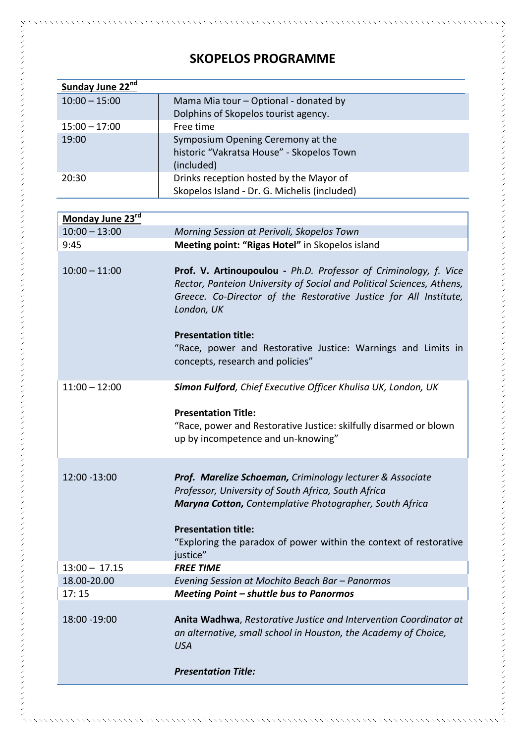## **SKOPELOS PROGRAMME**

| Sunday June 22 <sup>nd</sup> |                                              |
|------------------------------|----------------------------------------------|
| $10:00 - 15:00$              | Mama Mia tour - Optional - donated by        |
|                              | Dolphins of Skopelos tourist agency.         |
| $15:00 - 17:00$              | Free time                                    |
| 19:00                        | Symposium Opening Ceremony at the            |
|                              | historic "Vakratsa House" - Skopelos Town    |
|                              | (included)                                   |
| 20:30                        | Drinks reception hosted by the Mayor of      |
|                              | Skopelos Island - Dr. G. Michelis (included) |
|                              |                                              |

| Monday June 23rd |                                                                                                                                                                                                                                                                                                                                                                |
|------------------|----------------------------------------------------------------------------------------------------------------------------------------------------------------------------------------------------------------------------------------------------------------------------------------------------------------------------------------------------------------|
| $10:00 - 13:00$  | Morning Session at Perivoli, Skopelos Town                                                                                                                                                                                                                                                                                                                     |
| 9:45             | Meeting point: "Rigas Hotel" in Skopelos island                                                                                                                                                                                                                                                                                                                |
| $10:00 - 11:00$  | Prof. V. Artinoupoulou - Ph.D. Professor of Criminology, f. Vice<br>Rector, Panteion University of Social and Political Sciences, Athens,<br>Greece. Co-Director of the Restorative Justice for All Institute,<br>London, UK<br><b>Presentation title:</b><br>"Race, power and Restorative Justice: Warnings and Limits in<br>concepts, research and policies" |
| $11:00 - 12:00$  | Simon Fulford, Chief Executive Officer Khulisa UK, London, UK<br><b>Presentation Title:</b><br>"Race, power and Restorative Justice: skilfully disarmed or blown<br>up by incompetence and un-knowing"                                                                                                                                                         |
| 12:00 - 13:00    | <b>Prof. Marelize Schoeman, Criminology lecturer &amp; Associate</b><br>Professor, University of South Africa, South Africa<br>Maryna Cotton, Contemplative Photographer, South Africa<br><b>Presentation title:</b><br>"Exploring the paradox of power within the context of restorative<br>justice"                                                          |
| $13:00 - 17.15$  | <b>FREE TIME</b>                                                                                                                                                                                                                                                                                                                                               |
| 18.00-20.00      | Evening Session at Mochito Beach Bar - Panormos                                                                                                                                                                                                                                                                                                                |
| 17:15            | Meeting Point - shuttle bus to Panormos                                                                                                                                                                                                                                                                                                                        |
| 18:00 - 19:00    | Anita Wadhwa, Restorative Justice and Intervention Coordinator at<br>an alternative, small school in Houston, the Academy of Choice,<br><b>USA</b><br><b>Presentation Title:</b>                                                                                                                                                                               |
|                  |                                                                                                                                                                                                                                                                                                                                                                |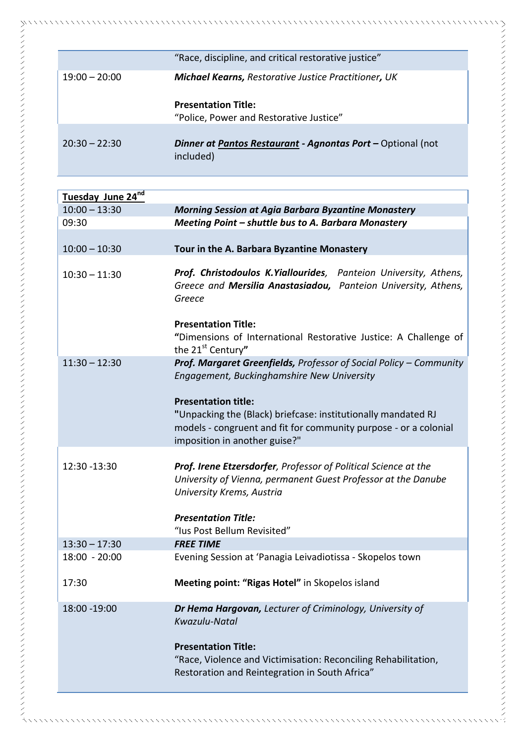| "Race, discipline, and critical restorative justice"                     |
|--------------------------------------------------------------------------|
| <b>Michael Kearns, Restorative Justice Practitioner, UK</b>              |
| <b>Presentation Title:</b>                                               |
| "Police, Power and Restorative Justice"                                  |
|                                                                          |
| Dinner at Pantos Restaurant - Agnontas Port - Optional (not<br>included) |
|                                                                          |

| Tuesday June 24nd |                                                                                                                                                                                                  |
|-------------------|--------------------------------------------------------------------------------------------------------------------------------------------------------------------------------------------------|
| $10:00 - 13:30$   | <b>Morning Session at Agia Barbara Byzantine Monastery</b>                                                                                                                                       |
| 09:30             | Meeting Point - shuttle bus to A. Barbara Monastery                                                                                                                                              |
| $10:00 - 10:30$   | Tour in the A. Barbara Byzantine Monastery                                                                                                                                                       |
| $10:30 - 11:30$   | Prof. Christodoulos K.Yiallourides, Panteion University, Athens,<br>Greece and Mersilia Anastasiadou, Panteion University, Athens,<br>Greece                                                     |
|                   | <b>Presentation Title:</b><br>"Dimensions of International Restorative Justice: A Challenge of<br>the 21st Century"                                                                              |
| $11:30 - 12:30$   | Prof. Margaret Greenfields, Professor of Social Policy - Community<br>Engagement, Buckinghamshire New University                                                                                 |
|                   | <b>Presentation title:</b><br>"Unpacking the (Black) briefcase: institutionally mandated RJ<br>models - congruent and fit for community purpose - or a colonial<br>imposition in another guise?" |
| 12:30 - 13:30     | Prof. Irene Etzersdorfer, Professor of Political Science at the<br>University of Vienna, permanent Guest Professor at the Danube<br>University Krems, Austria                                    |
|                   | <b>Presentation Title:</b><br>"Ius Post Bellum Revisited"                                                                                                                                        |
| $13:30 - 17:30$   | <b>FREE TIME</b>                                                                                                                                                                                 |
| $18:00 - 20:00$   | Evening Session at 'Panagia Leivadiotissa - Skopelos town                                                                                                                                        |
| 17:30             | Meeting point: "Rigas Hotel" in Skopelos island                                                                                                                                                  |
| 18:00 - 19:00     | Dr Hema Hargovan, Lecturer of Criminology, University of<br>Kwazulu-Natal                                                                                                                        |
|                   | <b>Presentation Title:</b><br>"Race, Violence and Victimisation: Reconciling Rehabilitation,<br>Restoration and Reintegration in South Africa"                                                   |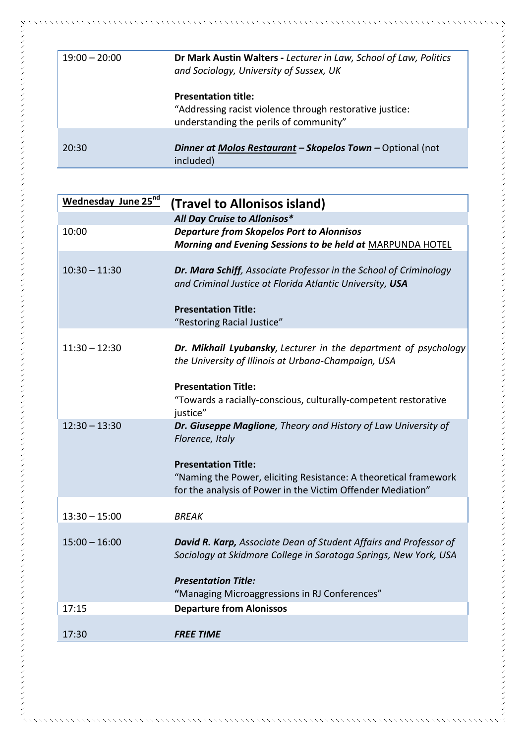| $19:00 - 20:00$ | Dr Mark Austin Walters - Lecturer in Law, School of Law, Politics<br>and Sociology, University of Sussex, UK                     |
|-----------------|----------------------------------------------------------------------------------------------------------------------------------|
|                 | <b>Presentation title:</b><br>"Addressing racist violence through restorative justice:<br>understanding the perils of community" |
| 20:30           | Dinner at Molos Restaurant - Skopelos Town - Optional (not<br>included)                                                          |

 $\times$   $\times$   $\times$   $\times$   $\times$ 

| Wednesday June 25nd | (Travel to Allonisos island)                                                                                                                                  |
|---------------------|---------------------------------------------------------------------------------------------------------------------------------------------------------------|
|                     | All Day Cruise to Allonisos*                                                                                                                                  |
| 10:00               | <b>Departure from Skopelos Port to Alonnisos</b><br>Morning and Evening Sessions to be held at MARPUNDA HOTEL                                                 |
| $10:30 - 11:30$     | Dr. Mara Schiff, Associate Professor in the School of Criminology<br>and Criminal Justice at Florida Atlantic University, USA                                 |
|                     | <b>Presentation Title:</b><br>"Restoring Racial Justice"                                                                                                      |
| $11:30 - 12:30$     | Dr. Mikhail Lyubansky, Lecturer in the department of psychology<br>the University of Illinois at Urbana-Champaign, USA                                        |
|                     | <b>Presentation Title:</b><br>"Towards a racially-conscious, culturally-competent restorative<br>justice"                                                     |
| $12:30 - 13:30$     | Dr. Giuseppe Maglione, Theory and History of Law University of<br>Florence, Italy                                                                             |
|                     | <b>Presentation Title:</b><br>"Naming the Power, eliciting Resistance: A theoretical framework<br>for the analysis of Power in the Victim Offender Mediation" |
| $13:30 - 15:00$     | <b>BREAK</b>                                                                                                                                                  |
| $15:00 - 16:00$     | <b>David R. Karp, Associate Dean of Student Affairs and Professor of</b><br>Sociology at Skidmore College in Saratoga Springs, New York, USA                  |
|                     | <b>Presentation Title:</b><br>"Managing Microaggressions in RJ Conferences"                                                                                   |
| 17:15               | <b>Departure from Alonissos</b>                                                                                                                               |
| 17:30               | <b>FREE TIME</b>                                                                                                                                              |

 $8.8.8.8.8$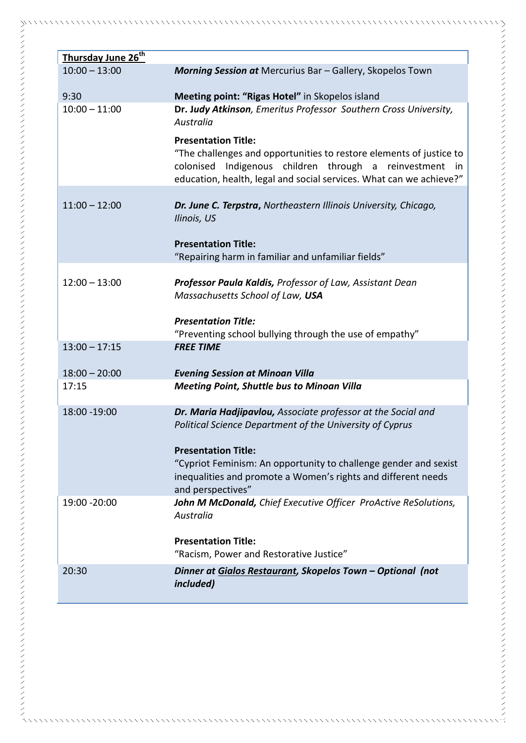| Thursday June 26 <sup>th</sup> |                                                                                                                                                                                                                                           |
|--------------------------------|-------------------------------------------------------------------------------------------------------------------------------------------------------------------------------------------------------------------------------------------|
| $10:00 - 13:00$                | <b>Morning Session at</b> Mercurius Bar - Gallery, Skopelos Town                                                                                                                                                                          |
| 9:30                           | Meeting point: "Rigas Hotel" in Skopelos island                                                                                                                                                                                           |
| $10:00 - 11:00$                | Dr. Judy Atkinson, Emeritus Professor Southern Cross University,<br>Australia                                                                                                                                                             |
|                                | <b>Presentation Title:</b><br>"The challenges and opportunities to restore elements of justice to<br>Indigenous children through a reinvestment<br>colonised<br>in<br>education, health, legal and social services. What can we achieve?" |
| $11:00 - 12:00$                | Dr. June C. Terpstra, Northeastern Illinois University, Chicago,<br>Ilinois, US                                                                                                                                                           |
|                                | <b>Presentation Title:</b><br>"Repairing harm in familiar and unfamiliar fields"                                                                                                                                                          |
| $12:00 - 13:00$                | Professor Paula Kaldis, Professor of Law, Assistant Dean<br>Massachusetts School of Law, USA                                                                                                                                              |
|                                | <b>Presentation Title:</b><br>"Preventing school bullying through the use of empathy"                                                                                                                                                     |
| $13:00 - 17:15$                | <b>FREE TIME</b>                                                                                                                                                                                                                          |
| $18:00 - 20:00$                | <b>Evening Session at Minoan Villa</b>                                                                                                                                                                                                    |
| 17:15                          | <b>Meeting Point, Shuttle bus to Minoan Villa</b>                                                                                                                                                                                         |
| 18:00 - 19:00                  | Dr. Maria Hadjipavlou, Associate professor at the Social and<br>Political Science Department of the University of Cyprus                                                                                                                  |
|                                | <b>Presentation Title:</b><br>"Cypriot Feminism: An opportunity to challenge gender and sexist<br>inequalities and promote a Women's rights and different needs<br>and perspectives"                                                      |
| 19:00 - 20:00                  | John M McDonald, Chief Executive Officer ProActive ReSolutions,<br>Australia                                                                                                                                                              |
|                                | <b>Presentation Title:</b><br>"Racism, Power and Restorative Justice"                                                                                                                                                                     |
| 20:30                          | Dinner at Gialos Restaurant, Skopelos Town - Optional (not<br><i>included</i> )                                                                                                                                                           |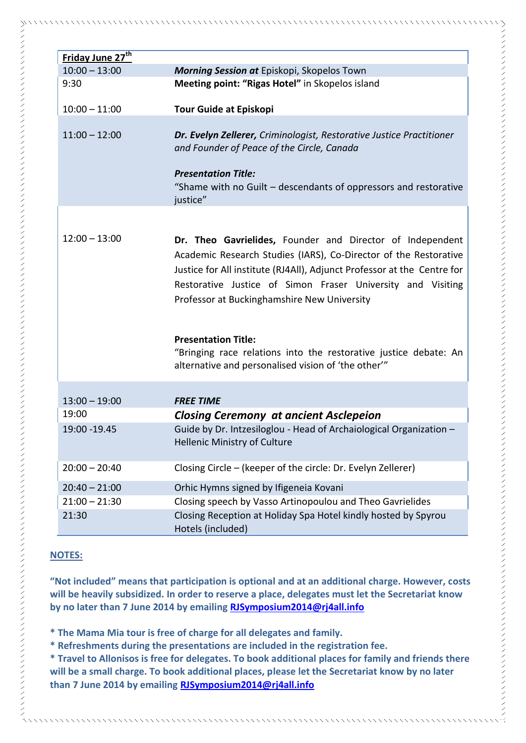| $10:00 - 13:00$<br>Morning Session at Episkopi, Skopelos Town<br>Meeting point: "Rigas Hotel" in Skopelos island<br>9:30<br>$10:00 - 11:00$<br><b>Tour Guide at Episkopi</b><br>$11:00 - 12:00$<br>Dr. Evelyn Zellerer, Criminologist, Restorative Justice Practitioner<br>and Founder of Peace of the Circle, Canada<br><b>Presentation Title:</b><br>"Shame with no Guilt - descendants of oppressors and restorative<br>justice"<br>$12:00 - 13:00$<br>Dr. Theo Gavrielides, Founder and Director of Independent<br>Academic Research Studies (IARS), Co-Director of the Restorative<br>Justice for All institute (RJ4All), Adjunct Professor at the Centre for<br>Restorative Justice of Simon Fraser University and Visiting<br>Professor at Buckinghamshire New University<br><b>Presentation Title:</b><br>"Bringing race relations into the restorative justice debate: An<br>alternative and personalised vision of 'the other'"<br>$13:00 - 19:00$<br><b>FREE TIME</b><br>19:00<br><b>Closing Ceremony at ancient Asclepeion</b><br>Guide by Dr. Intzesiloglou - Head of Archaiological Organization -<br>19:00 - 19.45<br>Hellenic Ministry of Culture<br>Closing Circle - (keeper of the circle: Dr. Evelyn Zellerer)<br>$20:00 - 20:40$<br>Orhic Hymns signed by Ifigeneia Kovani<br>$20:40 - 21:00$<br>$21:00 - 21:30$<br>Closing speech by Vasso Artinopoulou and Theo Gavrielides<br>Closing Reception at Holiday Spa Hotel kindly hosted by Spyrou<br>21:30<br>Hotels (included) | Friday June 27 <sup>th</sup> |  |
|---------------------------------------------------------------------------------------------------------------------------------------------------------------------------------------------------------------------------------------------------------------------------------------------------------------------------------------------------------------------------------------------------------------------------------------------------------------------------------------------------------------------------------------------------------------------------------------------------------------------------------------------------------------------------------------------------------------------------------------------------------------------------------------------------------------------------------------------------------------------------------------------------------------------------------------------------------------------------------------------------------------------------------------------------------------------------------------------------------------------------------------------------------------------------------------------------------------------------------------------------------------------------------------------------------------------------------------------------------------------------------------------------------------------------------------------------------------------------------------------------|------------------------------|--|
|                                                                                                                                                                                                                                                                                                                                                                                                                                                                                                                                                                                                                                                                                                                                                                                                                                                                                                                                                                                                                                                                                                                                                                                                                                                                                                                                                                                                                                                                                                   |                              |  |
|                                                                                                                                                                                                                                                                                                                                                                                                                                                                                                                                                                                                                                                                                                                                                                                                                                                                                                                                                                                                                                                                                                                                                                                                                                                                                                                                                                                                                                                                                                   |                              |  |
|                                                                                                                                                                                                                                                                                                                                                                                                                                                                                                                                                                                                                                                                                                                                                                                                                                                                                                                                                                                                                                                                                                                                                                                                                                                                                                                                                                                                                                                                                                   |                              |  |
|                                                                                                                                                                                                                                                                                                                                                                                                                                                                                                                                                                                                                                                                                                                                                                                                                                                                                                                                                                                                                                                                                                                                                                                                                                                                                                                                                                                                                                                                                                   |                              |  |
|                                                                                                                                                                                                                                                                                                                                                                                                                                                                                                                                                                                                                                                                                                                                                                                                                                                                                                                                                                                                                                                                                                                                                                                                                                                                                                                                                                                                                                                                                                   |                              |  |
|                                                                                                                                                                                                                                                                                                                                                                                                                                                                                                                                                                                                                                                                                                                                                                                                                                                                                                                                                                                                                                                                                                                                                                                                                                                                                                                                                                                                                                                                                                   |                              |  |
|                                                                                                                                                                                                                                                                                                                                                                                                                                                                                                                                                                                                                                                                                                                                                                                                                                                                                                                                                                                                                                                                                                                                                                                                                                                                                                                                                                                                                                                                                                   |                              |  |
|                                                                                                                                                                                                                                                                                                                                                                                                                                                                                                                                                                                                                                                                                                                                                                                                                                                                                                                                                                                                                                                                                                                                                                                                                                                                                                                                                                                                                                                                                                   |                              |  |
|                                                                                                                                                                                                                                                                                                                                                                                                                                                                                                                                                                                                                                                                                                                                                                                                                                                                                                                                                                                                                                                                                                                                                                                                                                                                                                                                                                                                                                                                                                   |                              |  |
|                                                                                                                                                                                                                                                                                                                                                                                                                                                                                                                                                                                                                                                                                                                                                                                                                                                                                                                                                                                                                                                                                                                                                                                                                                                                                                                                                                                                                                                                                                   |                              |  |
|                                                                                                                                                                                                                                                                                                                                                                                                                                                                                                                                                                                                                                                                                                                                                                                                                                                                                                                                                                                                                                                                                                                                                                                                                                                                                                                                                                                                                                                                                                   |                              |  |
|                                                                                                                                                                                                                                                                                                                                                                                                                                                                                                                                                                                                                                                                                                                                                                                                                                                                                                                                                                                                                                                                                                                                                                                                                                                                                                                                                                                                                                                                                                   |                              |  |
|                                                                                                                                                                                                                                                                                                                                                                                                                                                                                                                                                                                                                                                                                                                                                                                                                                                                                                                                                                                                                                                                                                                                                                                                                                                                                                                                                                                                                                                                                                   |                              |  |
|                                                                                                                                                                                                                                                                                                                                                                                                                                                                                                                                                                                                                                                                                                                                                                                                                                                                                                                                                                                                                                                                                                                                                                                                                                                                                                                                                                                                                                                                                                   |                              |  |
|                                                                                                                                                                                                                                                                                                                                                                                                                                                                                                                                                                                                                                                                                                                                                                                                                                                                                                                                                                                                                                                                                                                                                                                                                                                                                                                                                                                                                                                                                                   |                              |  |
|                                                                                                                                                                                                                                                                                                                                                                                                                                                                                                                                                                                                                                                                                                                                                                                                                                                                                                                                                                                                                                                                                                                                                                                                                                                                                                                                                                                                                                                                                                   |                              |  |
|                                                                                                                                                                                                                                                                                                                                                                                                                                                                                                                                                                                                                                                                                                                                                                                                                                                                                                                                                                                                                                                                                                                                                                                                                                                                                                                                                                                                                                                                                                   |                              |  |

#### **NOTES:**

**"Not included" means that participation is optional and at an additional charge. However, costs will be heavily subsidized. In order to reserve a place, delegates must let the Secretariat know by no later than 7 June 2014 by emailing [RJSymposium2014@rj4all.info](mailto:RJSymposium2014@rj4all.info)**

**\* The Mama Mia tour is free of charge for all delegates and family.** 

**\* Refreshments during the presentations are included in the registration fee.**

**\* Travel to Allonisos is free for delegates. To book additional places for family and friends there will be a small charge. To book additional places, please let the Secretariat know by no later than 7 June 2014 by emailing [RJSymposium2014@rj4all.info](mailto:RJSymposium2014@rj4all.info)**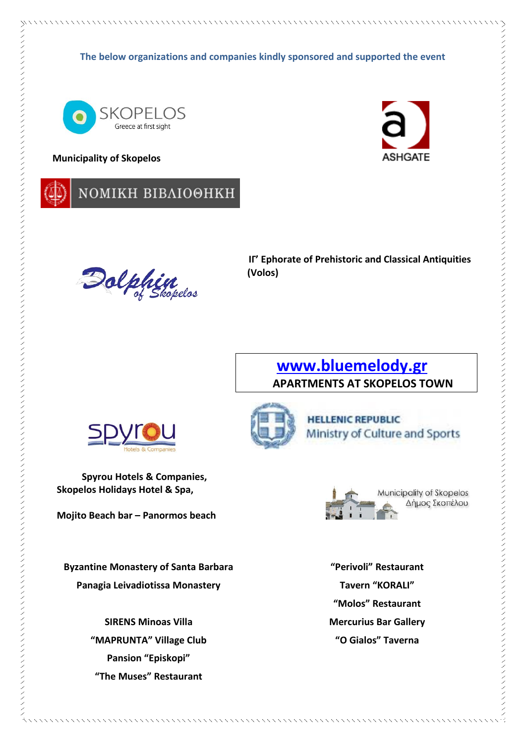**The below organizations and companies kindly sponsored and supported the event**



#### **Municipality of Skopelos**





**II'** Ephorate of Prehistoric and Classical Antiquities (Volos)<br>
(Volos) **(Volos)**

### **[www.bluemelody.gr](http://www.bluemelody.gr/)  APARTMENTS AT SKOPELOS TOWN**



**Spyrou Hotels & Companies, Skopelos Holidays Hotel & Spa,**

**Mojito Beach bar – Panormos beach**

**Byzantine Monastery of Santa Barbara Panagia Leivadiotissa Monastery**

> **SIRENS Minoas Villa "MAPRUNTA" Village Club Pansion "Episkopi" "The Muses" Restaurant**





**"Perivoli" Restaurant Tavern "KORALI" "Molos" Restaurant Mercurius Bar Gallery "O Gialos" Taverna**